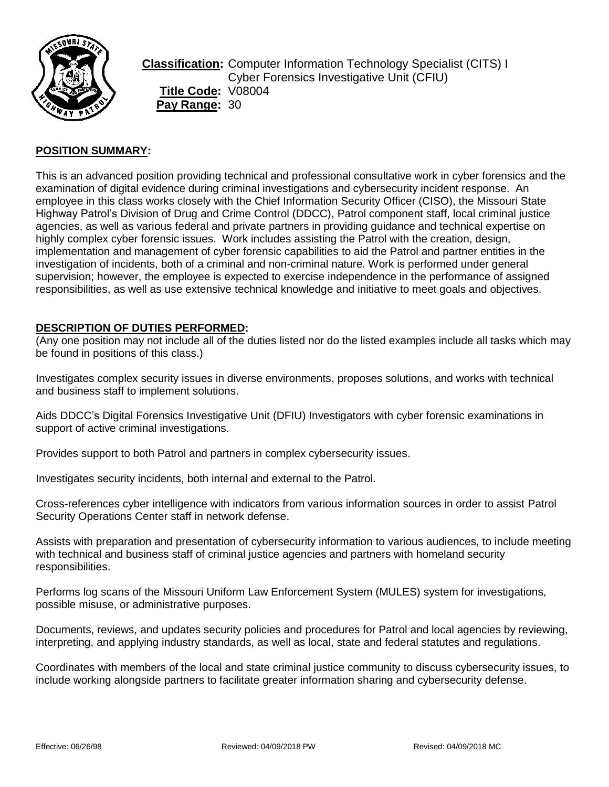

**Classification:** Computer Information Technology Specialist (CITS) I Cyber Forensics Investigative Unit (CFIU) **Title Code:** V08004 **Pay Range:** 30

## **POSITION SUMMARY:**

This is an advanced position providing technical and professional consultative work in cyber forensics and the examination of digital evidence during criminal investigations and cybersecurity incident response. An employee in this class works closely with the Chief Information Security Officer (CISO), the Missouri State Highway Patrol's Division of Drug and Crime Control (DDCC), Patrol component staff, local criminal justice agencies, as well as various federal and private partners in providing guidance and technical expertise on highly complex cyber forensic issues. Work includes assisting the Patrol with the creation, design, implementation and management of cyber forensic capabilities to aid the Patrol and partner entities in the investigation of incidents, both of a criminal and non-criminal nature. Work is performed under general supervision; however, the employee is expected to exercise independence in the performance of assigned responsibilities, as well as use extensive technical knowledge and initiative to meet goals and objectives.

#### **DESCRIPTION OF DUTIES PERFORMED:**

(Any one position may not include all of the duties listed nor do the listed examples include all tasks which may be found in positions of this class.)

Investigates complex security issues in diverse environments, proposes solutions, and works with technical and business staff to implement solutions.

Aids DDCC's Digital Forensics Investigative Unit (DFIU) Investigators with cyber forensic examinations in support of active criminal investigations.

Provides support to both Patrol and partners in complex cybersecurity issues.

Investigates security incidents, both internal and external to the Patrol.

Cross-references cyber intelligence with indicators from various information sources in order to assist Patrol Security Operations Center staff in network defense.

Assists with preparation and presentation of cybersecurity information to various audiences, to include meeting with technical and business staff of criminal justice agencies and partners with homeland security responsibilities.

Performs log scans of the Missouri Uniform Law Enforcement System (MULES) system for investigations, possible misuse, or administrative purposes.

Documents, reviews, and updates security policies and procedures for Patrol and local agencies by reviewing, interpreting, and applying industry standards, as well as local, state and federal statutes and regulations.

Coordinates with members of the local and state criminal justice community to discuss cybersecurity issues, to include working alongside partners to facilitate greater information sharing and cybersecurity defense.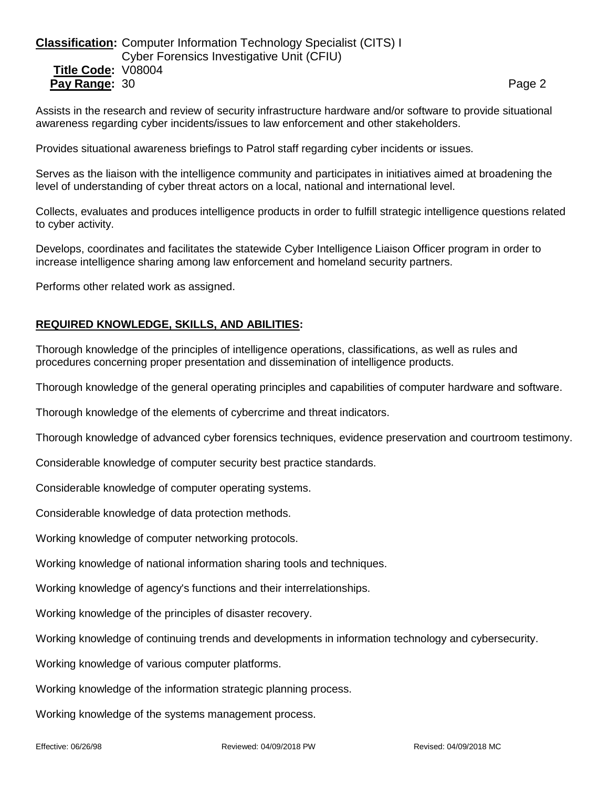## **Classification:** Computer Information Technology Specialist (CITS) I Cyber Forensics Investigative Unit (CFIU) **Title Code:** V08004 **Pay Range:** 30 **Page 2 Page 2 Page 2 Page 2 Page 2**

Assists in the research and review of security infrastructure hardware and/or software to provide situational awareness regarding cyber incidents/issues to law enforcement and other stakeholders.

Provides situational awareness briefings to Patrol staff regarding cyber incidents or issues.

Serves as the liaison with the intelligence community and participates in initiatives aimed at broadening the level of understanding of cyber threat actors on a local, national and international level.

Collects, evaluates and produces intelligence products in order to fulfill strategic intelligence questions related to cyber activity.

Develops, coordinates and facilitates the statewide Cyber Intelligence Liaison Officer program in order to increase intelligence sharing among law enforcement and homeland security partners.

Performs other related work as assigned.

### **REQUIRED KNOWLEDGE, SKILLS, AND ABILITIES:**

Thorough knowledge of the principles of intelligence operations, classifications, as well as rules and procedures concerning proper presentation and dissemination of intelligence products.

Thorough knowledge of the general operating principles and capabilities of computer hardware and software.

Thorough knowledge of the elements of cybercrime and threat indicators.

Thorough knowledge of advanced cyber forensics techniques, evidence preservation and courtroom testimony.

Considerable knowledge of computer security best practice standards.

Considerable knowledge of computer operating systems.

Considerable knowledge of data protection methods.

Working knowledge of computer networking protocols.

Working knowledge of national information sharing tools and techniques.

Working knowledge of agency's functions and their interrelationships.

Working knowledge of the principles of disaster recovery.

Working knowledge of continuing trends and developments in information technology and cybersecurity.

Working knowledge of various computer platforms.

Working knowledge of the information strategic planning process.

Working knowledge of the systems management process.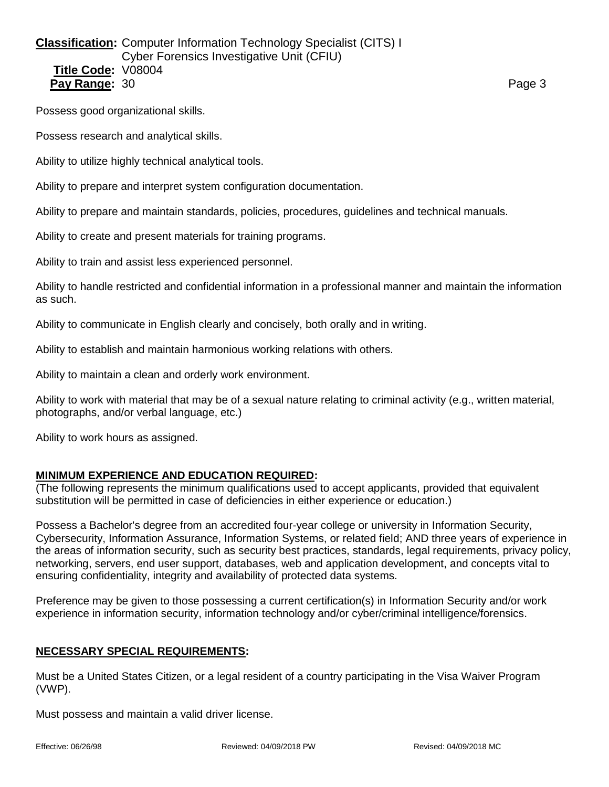## **Classification:** Computer Information Technology Specialist (CITS) I Cyber Forensics Investigative Unit (CFIU) **Title Code:** V08004 **Pay Range:** 30 Page 3

Possess good organizational skills.

Possess research and analytical skills.

Ability to utilize highly technical analytical tools.

Ability to prepare and interpret system configuration documentation.

Ability to prepare and maintain standards, policies, procedures, guidelines and technical manuals.

Ability to create and present materials for training programs.

Ability to train and assist less experienced personnel.

Ability to handle restricted and confidential information in a professional manner and maintain the information as such.

Ability to communicate in English clearly and concisely, both orally and in writing.

Ability to establish and maintain harmonious working relations with others.

Ability to maintain a clean and orderly work environment.

Ability to work with material that may be of a sexual nature relating to criminal activity (e.g., written material, photographs, and/or verbal language, etc.)

Ability to work hours as assigned.

### **MINIMUM EXPERIENCE AND EDUCATION REQUIRED:**

(The following represents the minimum qualifications used to accept applicants, provided that equivalent substitution will be permitted in case of deficiencies in either experience or education.)

Possess a Bachelor's degree from an accredited four-year college or university in Information Security, Cybersecurity, Information Assurance, Information Systems, or related field; AND three years of experience in the areas of information security, such as security best practices, standards, legal requirements, privacy policy, networking, servers, end user support, databases, web and application development, and concepts vital to ensuring confidentiality, integrity and availability of protected data systems.

Preference may be given to those possessing a current certification(s) in Information Security and/or work experience in information security, information technology and/or cyber/criminal intelligence/forensics.

### **NECESSARY SPECIAL REQUIREMENTS:**

Must be a United States Citizen, or a legal resident of a country participating in the Visa Waiver Program (VWP).

Must possess and maintain a valid driver license.